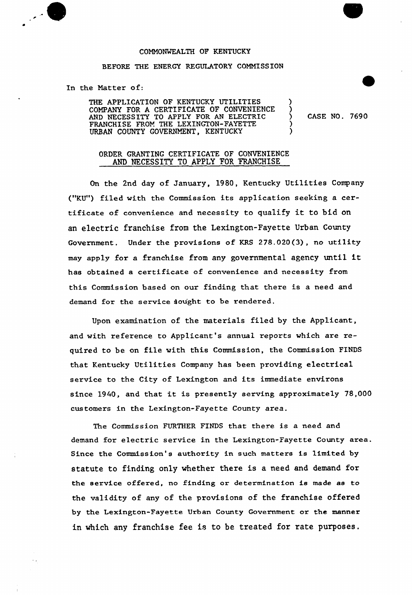

## COMMONWEALTH OP KENTUCKY

## BEFORE THE ENERGY REGULATORY COMMISSION

In the Matter of:

THE APPLICATION OF KENTUCKY UTILITIES COMPANY FOR <sup>A</sup> CERTIFICATE 07 CONVENIENCE AND NECESSITY TO APPLY FOR AN ELECTRIC FRANCHISE FROM THE LEXINGTON-FAYETTE URBAN COUNTY GOVERNMENT, KENTUCKY

) CASE NO. 7690

)

)

) )

## ORDER GRANTING CERTIFICATE OF CONVENIENCE AND NECESSITY TO APPLY FOR FRANCHISE

On the 2nd day of January, 1980, Kentucky Utilities Company ("KU") filed with the Commission its application seeking a certificate of convenience and necessity to qualify it to bid on an electric franchise from the Lexington-Fayette Urban County Government, Under the provisions of KRS 278.020(3), no utility may apply for <sup>a</sup> franchise from any governmenta1 agency until it has obtained a certificate of convenience and necessity from this Commission based on our finding that there is a need and demand for the service sought to be rendered.

Upon examination of the materials filed by the Applicant, and with reference to Applicant's annual reports which are required to be on file with this Commission, the Commission FINDS that Kentucky Utilities Company has been providing electrical service to the City of Lexington and its immediate environs since 1940, and that it is presently serving approximately 78,000 customers in the Lexington-Fayette County area.

The Commission FURTHER FINDS that there is a need and demand for electric service in the Lexington-Fayette County area. Since the Commission's authority in such matters is limited by statute to finding only whether there is a need and demand for the service offered, no finding or determination is made as to the validity of any of the provisions of the franchise offered by the Lexington-Fayette Urban County Government or the manner in which any franchise fee is to be treated for rate purposes.